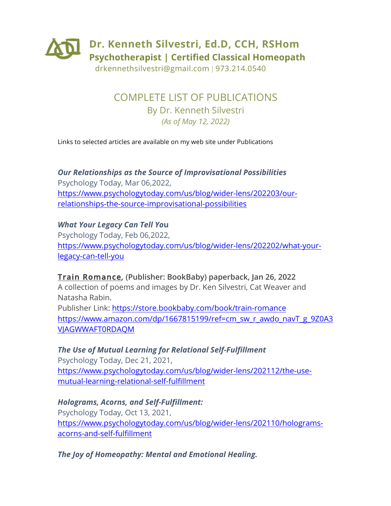

drkennethsilvestri@gmail.com | 973.214.0540

COMPLETE LIST OF PUBLICATIONS By Dr. Kenneth Silvestri *(As of May 12, 2022)*

Links to selected articles are available on my web site under Publications

*Our Relationships as the Source of Improvisational Possibilities* Psychology Today, Mar 06,2022, https://www.psychologytoday.com/us/blog/wider-lens/202203/ourrelationships-the-source-improvisational-possibilities

*What Your Legacy Can Tell Yo***u** Psychology Today, Feb 06,2022, https://www.psychologytoday.com/us/blog/wider-lens/202202/what-yourlegacy-can-tell-you

**Train Romance***,* **(Publisher: BookBaby) paperback, Jan 26, 2022** A collection of poems and images by Dr. Ken Silvestri, Cat Weaver and Natasha Rabin. Publisher Link: https://store.bookbaby.com/book/train-romance https://www.amazon.com/dp/1667815199/ref=cm\_sw\_r\_awdo\_navT\_g\_9Z0A3 VJAGWWAFT0RDAQM

*The Use of Mutual Learning for Relational Self-Fulfillment* Psychology Today, Dec 21, 2021, https://www.psychologytoday.com/us/blog/wider-lens/202112/the-usemutual-learning-relational-self-fulfillment

*Holograms, Acorns, and Self-Fulfillment:* Psychology Today, Oct 13, 2021, https://www.psychologytoday.com/us/blog/wider-lens/202110/hologramsacorns-and-self-fulfillment

*The Joy of Homeopathy: Mental and Emotional Healing.*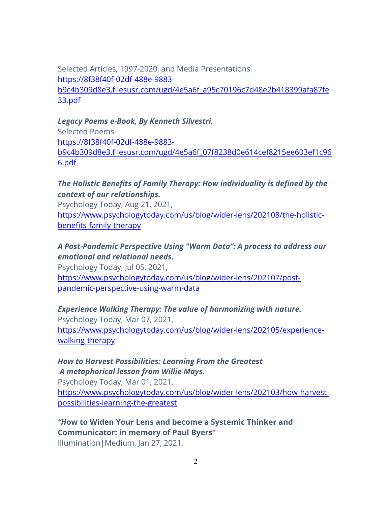Selected Articles, 1997-2020, and Media Presentations https://8f38f40f-02df-488e-9883 b9c4b309d8e3.filesusr.com/ugd/4e5a6f\_a95c70196c7d48e2b418399afa87fe 33.pdf

#### *Legacy Poems e-Book, By Kenneth Silvestri.*

Selected Poems https://8f38f40f-02df-488e-9883 b9c4b309d8e3.filesusr.com/ugd/4e5a6f\_07f8238d0e614cef8215ee603ef1c96 6.pdf

#### *The Holistic Benefits of Family Therapy: How individuality is defined by the context of our relationships.*

Psychology Today, Aug 21, 2021, https://www.psychologytoday.com/us/blog/wider-lens/202108/the-holisticbenefits-family-therapy

#### *A Post-Pandemic Perspective Using "Warm Data": A process to address our emotional and relational needs.*

Psychology Today, Jul 05, 2021, https://www.psychologytoday.com/us/blog/wider-lens/202107/postpandemic-perspective-using-warm-data

#### *Experience Walking Therapy: The value of harmonizing with nature.*

Psychology Today, Mar 07, 2021, https://www.psychologytoday.com/us/blog/wider-lens/202105/experiencewalking-therapy

#### *How to Harvest Possibilities: Learning From the Greatest A metaphorical lesson from Willie Mays.*

Psychology Today, Mar 01, 2021, https://www.psychologytoday.com/us/blog/wider-lens/202103/how-harvestpossibilities-learning-the-greatest

# *"H***ow to Widen Your Lens and become a Systemic Thinker and Communicator: in memory of Paul Byers"**

Illumination|Medium, Jan 27, 2021,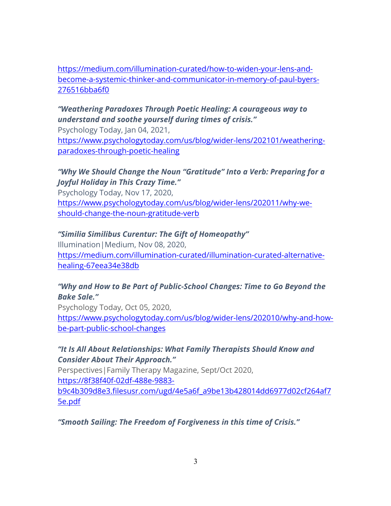https://medium.com/illumination-curated/how-to-widen-your-lens-andbecome-a-systemic-thinker-and-communicator-in-memory-of-paul-byers-276516bba6f0

# *"Weathering Paradoxes Through Poetic Healing: A courageous way to understand and soothe yourself during times of crisis."*

Psychology Today, Jan 04, 2021,

https://www.psychologytoday.com/us/blog/wider-lens/202101/weatheringparadoxes-through-poetic-healing

# *"Why We Should Change the Noun "Gratitude" Into a Verb: Preparing for a Joyful Holiday in This Crazy Time."*

Psychology Today, Nov 17, 2020, https://www.psychologytoday.com/us/blog/wider-lens/202011/why-weshould-change-the-noun-gratitude-verb

# *"Similia Similibus Curentur: The Gift of Homeopathy"*

Illumination|Medium, Nov 08, 2020, https://medium.com/illumination-curated/illumination-curated-alternativehealing-67eea34e38db

## *"Why and How to Be Part of Public-School Changes: Time to Go Beyond the Bake Sale."*

Psychology Today, Oct 05, 2020, https://www.psychologytoday.com/us/blog/wider-lens/202010/why-and-howbe-part-public-school-changes

## *"It Is All About Relationships: What Family Therapists Should Know and Consider About Their Approach."*

Perspectives|Family Therapy Magazine, Sept/Oct 2020, https://8f38f40f-02df-488e-9883 b9c4b309d8e3.filesusr.com/ugd/4e5a6f\_a9be13b428014dd6977d02cf264af7 5e.pdf

*"Smooth Sailing: The Freedom of Forgiveness in this time of Crisis."*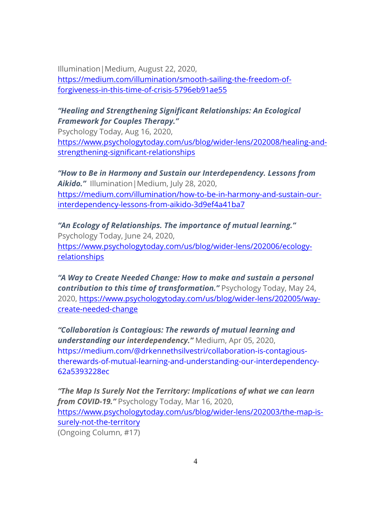Illumination|Medium, August 22, 2020, https://medium.com/illumination/smooth-sailing-the-freedom-offorgiveness-in-this-time-of-crisis-5796eb91ae55

## *"Healing and Strengthening Significant Relationships: An Ecological Framework for Couples Therapy."*

Psychology Today, Aug 16, 2020, https://www.psychologytoday.com/us/blog/wider-lens/202008/healing-andstrengthening-significant-relationships

*"How to Be in Harmony and Sustain our Interdependency. Lessons from Aikido."* Illumination|Medium, July 28, 2020, https://medium.com/illumination/how-to-be-in-harmony-and-sustain-ourinterdependency-lessons-from-aikido-3d9ef4a41ba7

*"An Ecology of Relationships. The importance of mutual learning."* Psychology Today, June 24, 2020, https://www.psychologytoday.com/us/blog/wider-lens/202006/ecologyrelationships

*"A Way to Create Needed Change: How to make and sustain a personal contribution to this time of transformation."* Psychology Today, May 24, 2020, https://www.psychologytoday.com/us/blog/wider-lens/202005/waycreate-needed-change

*"Collaboration is Contagious: The rewards of mutual learning and understanding our interdependency."* Medium, Apr 05, 2020, https://medium.com/@drkennethsilvestri/collaboration-is-contagioustherewards-of-mutual-learning-and-understanding-our-interdependency-62a5393228ec

*"The Map Is Surely Not the Territory: Implications of what we can learn from COVID-19."* Psychology Today, Mar 16, 2020, https://www.psychologytoday.com/us/blog/wider-lens/202003/the-map-issurely-not-the-territory (Ongoing Column, #17)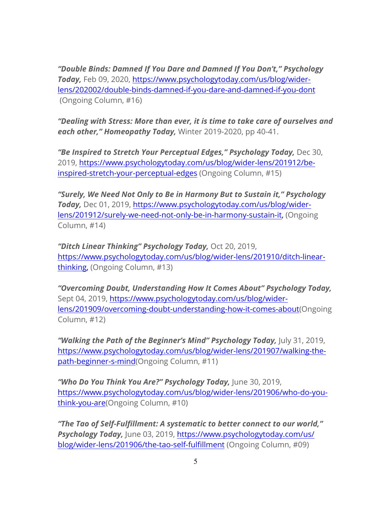*"Double Binds: Damned If You Dare and Damned If You Don't," Psychology Today,* Feb 09, 2020, https://www.psychologytoday.com/us/blog/widerlens/202002/double-binds-damned-if-you-dare-and-damned-if-you-dont (Ongoing Column, #16)

*"Dealing with Stress: More than ever, it is time to take care of ourselves and each other," Homeopathy Today,* Winter 2019-2020, pp 40-41.

*"Be Inspired to Stretch Your Perceptual Edges," Psychology Today,* Dec 30, 2019, https://www.psychologytoday.com/us/blog/wider-lens/201912/beinspired-stretch-your-perceptual-edges (Ongoing Column, #15)

*"Surely, We Need Not Only to Be in Harmony But to Sustain it," Psychology Today,* Dec 01, 2019, https://www.psychologytoday.com/us/blog/widerlens/201912/surely-we-need-not-only-be-in-harmony-sustain-it, (Ongoing Column, #14)

*"Ditch Linear Thinking" Psychology Today,* Oct 20, 2019, https://www.psychologytoday.com/us/blog/wider-lens/201910/ditch-linearthinking, (Ongoing Column, #13)

*"Overcoming Doubt, Understanding How It Comes About" Psychology Today,*  Sept 04, 2019, https://www.psychologytoday.com/us/blog/widerlens/201909/overcoming-doubt-understanding-how-it-comes-about(Ongoing Column, #12)

*"Walking the Path of the Beginner's Mind" Psychology Today,* July 31, 2019, https://www.psychologytoday.com/us/blog/wider-lens/201907/walking-thepath-beginner-s-mind(Ongoing Column, #11)

"Who Do You Think You Are?" Psychology Today, June 30, 2019, https://www.psychologytoday.com/us/blog/wider-lens/201906/who-do-youthink-you-are(Ongoing Column, #10)

*"The Tao of Self-Fulfillment: A systematic to better connect to our world," Psychology Today,* June 03, 2019, https://www.psychologytoday.com/us/ blog/wider-lens/201906/the-tao-self-fulfillment (Ongoing Column, #09)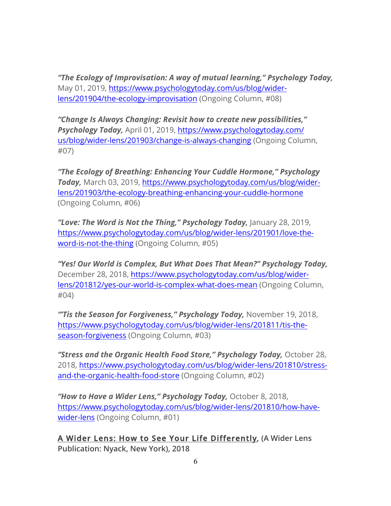*"The Ecology of Improvisation: A way of mutual learning," Psychology Today,*  May 01, 2019, https://www.psychologytoday.com/us/blog/widerlens/201904/the-ecology-improvisation (Ongoing Column, #08)

*"Change Is Always Changing: Revisit how to create new possibilities," Psychology Today,* April 01, 2019, https://www.psychologytoday.com/ us/blog/wider-lens/201903/change-is-always-changing (Ongoing Column, #07)

*"The Ecology of Breathing: Enhancing Your Cuddle Hormone," Psychology Today,* March 03, 2019, https://www.psychologytoday.com/us/blog/widerlens/201903/the-ecology-breathing-enhancing-your-cuddle-hormone (Ongoing Column, #06)

*"Love: The Word is Not the Thing," Psychology Today,* January 28, 2019, https://www.psychologytoday.com/us/blog/wider-lens/201901/love-theword-is-not-the-thing (Ongoing Column, #05)

*"Yes! Our World is Complex, But What Does That Mean?" Psychology Today,*  December 28, 2018, https://www.psychologytoday.com/us/blog/widerlens/201812/yes-our-world-is-complex-what-does-mean (Ongoing Column, #04)

*"'Tis the Season for Forgiveness," Psychology Today,* November 19, 2018, https://www.psychologytoday.com/us/blog/wider-lens/201811/tis-theseason-forgiveness (Ongoing Column, #03)

*"Stress and the Organic Health Food Store," Psychology Today,* October 28, 2018, https://www.psychologytoday.com/us/blog/wider-lens/201810/stressand-the-organic-health-food-store (Ongoing Column, #02)

*"How to Have a Wider Lens," Psychology Today,* October 8, 2018, https://www.psychologytoday.com/us/blog/wider-lens/201810/how-havewider-lens (Ongoing Column, #01)

**A Wider Lens: How to See Your Life Differently***,* **(A Wider Lens Publication: Nyack, New York), 2018**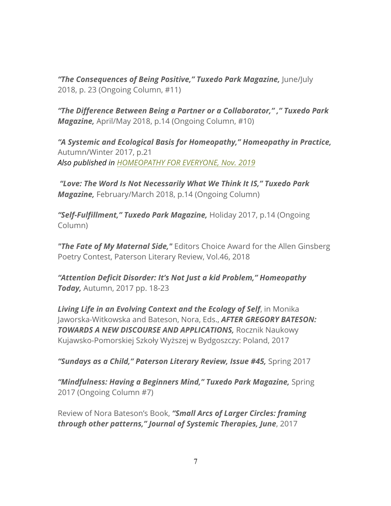*"The Consequences of Being Positive," Tuxedo Park Magazine,* June/July 2018, p. 23 (Ongoing Column, #11)

*"The Difference Between Being a Partner or a Collaborator," ," Tuxedo Park Magazine,* April/May 2018, p.14 (Ongoing Column, #10)

*"A Systemic and Ecological Basis for Homeopathy," Homeopathy in Practice,*  Autumn/Winter 2017, p.21 *Also published in HOMEOPATHY FOR EVERYONE, Nov. 2019*

*"Love: The Word Is Not Necessarily What We Think It IS," Tuxedo Park Magazine,* February/March 2018, p.14 (Ongoing Column)

*"Self-Fulfillment," Tuxedo Park Magazine,* Holiday 2017, p.14 (Ongoing Column)

*"The Fate of My Maternal Side,"* Editors Choice Award for the Allen Ginsberg Poetry Contest, Paterson Literary Review, Vol.46, 2018

*"Attention Deficit Disorder: It's Not Just a kid Problem," Homeopathy Today,* Autumn, 2017 pp. 18-23

*Living Life in an Evolving Context and the Ecology of Self*, in Monika Jaworska-Witkowska and Bateson, Nora, Eds., *AFTER GREGORY BATESON: TOWARDS A NEW DISCOURSE AND APPLICATIONS,* Rocznik Naukowy Kujawsko-Pomorskiej Szkoły Wyższej w Bydgoszczy: Poland, 2017

*"Sundays as a Child," Paterson Literary Review, Issue #45,* Spring 2017

*"Mindfulness: Having a Beginners Mind," Tuxedo Park Magazine,* Spring 2017 (Ongoing Column #7)

Review of Nora Bateson's Book, *"Small Arcs of Larger Circles: framing through other patterns," Journal of Systemic Therapies, June*, 2017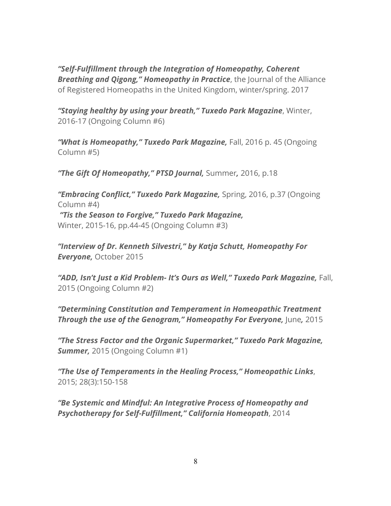*"Self-Fulfillment through the Integration of Homeopathy, Coherent Breathing and Qigong," Homeopathy in Practice*, the Journal of the Alliance of Registered Homeopaths in the United Kingdom, winter/spring. 2017

*"Staying healthy by using your breath," Tuxedo Park Magazine*, Winter, 2016-17 (Ongoing Column #6)

*"What is Homeopathy," Tuxedo Park Magazine,* Fall, 2016 p. 45 (Ongoing Column #5)

*"The Gift Of Homeopathy," PTSD Journal,* Summer*,* 2016, p.18

*"Embracing Conflict," Tuxedo Park Magazine,* Spring, 2016, p.37 (Ongoing Column #4) *"Tis the Season to Forgive," Tuxedo Park Magazine,*  Winter, 2015-16, pp.44-45 (Ongoing Column #3)

*"Interview of Dr. Kenneth Silvestri," by Katja Schutt, Homeopathy For Everyone,* October 2015

*"ADD, Isn't Just a Kid Problem- It's Ours as Well," Tuxedo Park Magazine,* Fall, 2015 (Ongoing Column #2)

*"Determining Constitution and Temperament in Homeopathic Treatment Through the use of the Genogram," Homeopathy For Everyone, June, 2015* 

*"The Stress Factor and the Organic Supermarket," Tuxedo Park Magazine, Summer,* 2015 (Ongoing Column #1)

*"The Use of Temperaments in the Healing Process," Homeopathic Links*, 2015; 28(3):150-158

*"Be Systemic and Mindful: An Integrative Process of Homeopathy and Psychotherapy for Self-Fulfillment," California Homeopath*, 2014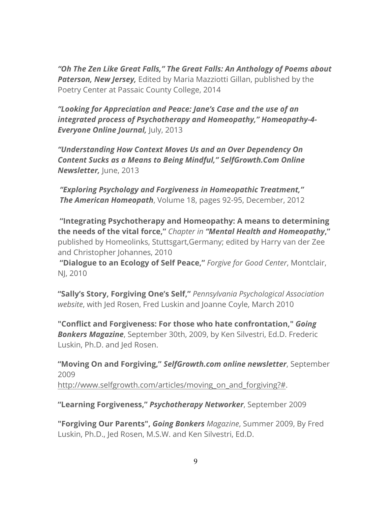*"Oh The Zen Like Great Falls," The Great Falls: An Anthology of Poems about Paterson, New Jersey,* Edited by Maria Mazziotti Gillan, published by the Poetry Center at Passaic County College, 2014

*"Looking for Appreciation and Peace: Jane's Case and the use of an integrated process of Psychotherapy and Homeopathy," Homeopathy-4- Everyone Online Journal, July, 2013* 

*"Understanding How Context Moves Us and an Over Dependency On Content Sucks as a Means to Being Mindful," SelfGrowth.Com Online Newsletter,* June, 2013

*"Exploring Psychology and Forgiveness in Homeopathic Treatment," The American Homeopath*, Volume 18, pages 92-95, December, 2012

**"Integrating Psychotherapy and Homeopathy: A means to determining the needs of the vital force,"** *Chapter in "Mental Health and Homeopathy***,"** published by Homeolinks, Stuttsgart,Germany; edited by Harry van der Zee and Christopher Johannes, 2010

**"Dialogue to an Ecology of Self Peace,"** *Forgive for Good Center*, Montclair, NJ, 2010

**"Sally's Story, Forgiving One's Self,"** *Pennsylvania Psychological Association website*, with Jed Rosen, Fred Luskin and Joanne Coyle, March 2010

**"Conflict and Forgiveness: For those who hate confrontation,"** *Going Bonkers Magazine*, September 30th, 2009, by Ken Silvestri, Ed.D. Frederic Luskin, Ph.D. and Jed Rosen.

**"Moving On and Forgiving,"** *SelfGrowth.com online newsletter*, September 2009 http://www.selfgrowth.com/articles/moving\_on\_and\_forgiving?#.

**"Learning Forgiveness,"** *Psychotherapy Networker*, September 2009

**"Forgiving Our Parents",** *Going Bonkers Magazine*, Summer 2009, By Fred Luskin, Ph.D., Jed Rosen, M.S.W. and Ken Silvestri, Ed.D.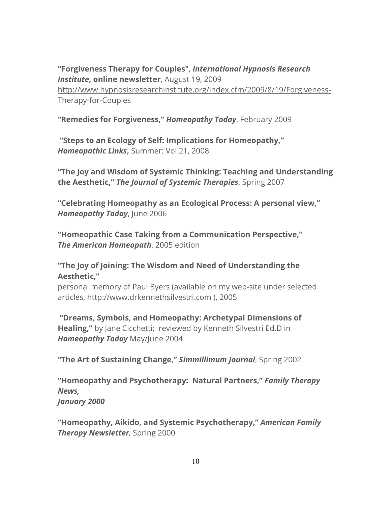**"Forgiveness Therapy for Couples"**, *International Hypnosis Research Institute***, online newsletter**, August 19, 2009 http://www.hypnosisresearchinstitute.org/index.cfm/2009/8/19/Forgiveness-Therapy-for-Couples

**"Remedies for Forgiveness,"** *Homeopathy Today*, February 2009

**"Steps to an Ecology of Self: Implications for Homeopathy,"** *Homeopathic Links***,** Summer: Vol.21, 2008

**"The Joy and Wisdom of Systemic Thinking: Teaching and Understanding the Aesthetic,"** *The Journal of Systemic Therapies*, Spring 2007

**"Celebrating Homeopathy as an Ecological Process: A personal view,"** *Homeopathy Today*, June 2006

**"Homeopathic Case Taking from a Communication Perspective,"** *The American Homeopath*, 2005 edition

#### **"The Joy of Joining: The Wisdom and Need of Understanding the Aesthetic,"**

personal memory of Paul Byers (available on my web-site under selected articles, http://www.drkennethsilvestri.com ), 2005

**"Dreams, Symbols, and Homeopathy: Archetypal Dimensions of Healing,"** by Jane Cicchetti; reviewed by Kenneth Silvestri Ed.D in *Homeopathy Today* May/June 2004

**"The Art of Sustaining Change,"** *Simmillimum Journal*, Spring 2002

**"Homeopathy and Psychotherapy: Natural Partners,"** *Family Therapy News, January 2000*

**"Homeopathy, Aikido, and Systemic Psychotherapy,"** *American Family Therapy Newsletter,* Spring 2000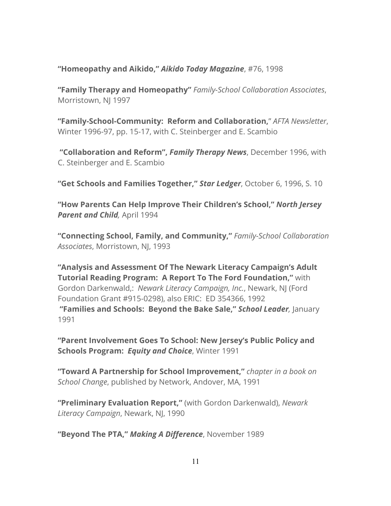**"Homeopathy and Aikido,"** *Aikido Today Magazine*, #76, 1998

**"Family Therapy and Homeopathy"** *Family-School Collaboration Associates*, Morristown, NJ 1997

**"Family-School-Community: Reform and Collaboration,**" *AFTA Newsletter*, Winter 1996-97, pp. 15-17, with C. Steinberger and E. Scambio

**"Collaboration and Reform",** *Family Therapy News*, December 1996, with C. Steinberger and E. Scambio

**"Get Schools and Families Together,"** *Star Ledger*, October 6, 1996, S. 10

**"How Parents Can Help Improve Their Children's School,"** *North Jersey Parent and Child,* April 1994

**"Connecting School, Family, and Community,"** *Family-School Collaboration Associates*, Morristown, NJ, 1993

**"Analysis and Assessment Of The Newark Literacy Campaign's Adult Tutorial Reading Program: A Report To The Ford Foundation,"** with Gordon Darkenwald,: *Newark Literacy Campaign, Inc.*, Newark, NJ (Ford Foundation Grant #915-0298), also ERIC: ED 354366, 1992 **"Families and Schools: Beyond the Bake Sale,"** *School Leader,* January 1991

**"Parent Involvement Goes To School: New Jersey's Public Policy and Schools Program:** *Equity and Choice*, Winter 1991

**"Toward A Partnership for School Improvement,"** *chapter in a book on School Change*, published by Network, Andover, MA, 1991

**"Preliminary Evaluation Report,"** (with Gordon Darkenwald), *Newark Literacy Campaign*, Newark, NJ, 1990

**"Beyond The PTA,"** *Making A Difference*, November 1989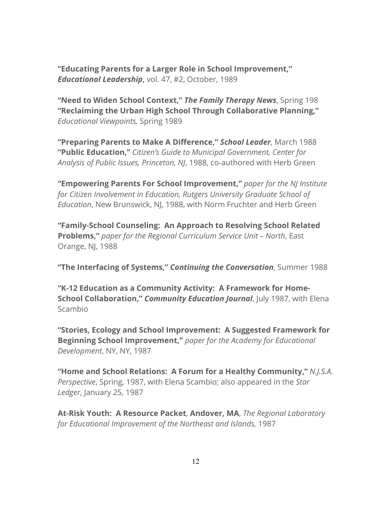**"Educating Parents for a Larger Role in School Improvement,"** *Educational Leadership***,** vol. 47, #2, October, 1989

**"Need to Widen School Context,"** *The Family Therapy News*, Spring 198 **"Reclaiming the Urban High School Through Collaborative Planning,"** *Educational Viewpoints,* Spring 1989

**"Preparing Parents to Make A Difference,"** *School Leader*, March 1988 **"Public Education,"** *Citizen's Guide to Municipal Government, Center for Analysis of Public Issues, Princeton, NJ*, 1988, co-authored with Herb Green

**"Empowering Parents For School Improvement,"** *paper for the NJ Institute for Citizen Involvement in Education, Rutgers University Graduate School of Education*, New Brunswick, NJ, 1988, with Norm Fruchter and Herb Green

**"Family-School Counseling: An Approach to Resolving School Related Problems,"** *paper for the Regional Curriculum Service Unit – North*, East Orange, NJ, 1988

**"The Interfacing of Systems,"** *Continuing the Conversation*, Summer 1988

**"K-12 Education as a Community Activity: A Framework for Home-School Collaboration,"** *Community Education Journal*, July 1987, with Elena Scambio

**"Stories, Ecology and School Improvement: A Suggested Framework for Beginning School Improvement,"** *paper for the Academy for Educational Development*, NY, NY, 1987

**"Home and School Relations: A Forum for a Healthy Community,"** *N.J.S.A. Perspective*, Spring, 1987, with Elena Scambio; also appeared in the *Star Ledger*, January 25, 1987

**At-Risk Youth: A Resource Packet**, **Andover, MA**, *The Regional Laboratory for Educational Improvement of the Northeast and Islands,* 1987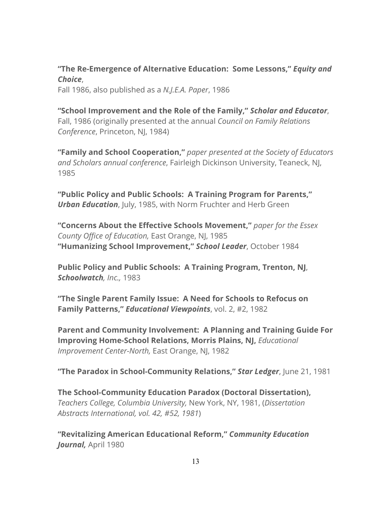**"The Re-Emergence of Alternative Education: Some Lessons,"** *Equity and Choice*,

Fall 1986, also published as a *N.J.E.A. Paper*, 1986

**"School Improvement and the Role of the Family,"** *Scholar and Educator*, Fall, 1986 (originally presented at the annual *Council on Family Relations Conference*, Princeton, NJ, 1984)

**"Family and School Cooperation,"** *paper presented at the Society of Educators and Scholars annual conference*, Fairleigh Dickinson University, Teaneck, NJ, 1985

**"Public Policy and Public Schools: A Training Program for Parents,"** *Urban Education*, July, 1985, with Norm Fruchter and Herb Green

**"Concerns About the Effective Schools Movement,"** *paper for the Essex County Office of Education,* East Orange, NJ, 1985 **"Humanizing School Improvement,"** *School Leader*, October 1984

**Public Policy and Public Schools: A Training Program, Trenton, NJ**, *Schoolwatch, Inc.,* 1983

**"The Single Parent Family Issue: A Need for Schools to Refocus on Family Patterns,"** *Educational Viewpoints*, vol. 2, #2, 1982

**Parent and Community Involvement: A Planning and Training Guide For Improving Home-School Relations, Morris Plains, NJ,** *Educational Improvement Center-North,* East Orange, NJ, 1982

**"The Paradox in School-Community Relations,"** *Star Ledger*, June 21, 1981

**The School-Community Education Paradox (Doctoral Dissertation),** *Teachers College, Columbia University,* New York, NY, 1981, (*Dissertation Abstracts International, vol. 42, #52, 1981*)

**"Revitalizing American Educational Reform,"** *Community Education Journal,* April 1980